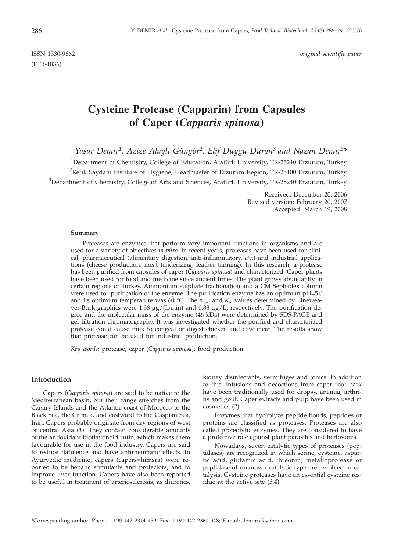(FTB-1836)

ISSN 1330-9862 *original scientific paper*

# **Cysteine Protease (Capparin) from Capsules of Caper (***Capparis spinosa***)**

*Yasar Demir1, Azize Alayli Güngör2, Elif Duygu Duran3 and Nazan Demir3*\*

<sup>1</sup>Department of Chemistry, College of Education, Atatürk University, TR-25240 Erzurum, Turkey  $^{2}$ Refik Saydam Institute of Hygiene, Headmaster of Erzurum Region, TR-25100 Erzurum, Turkey  $3$ Department of Chemistry, College of Arts and Sciences, Atatürk University, TR-25240 Erzurum, Turkey

> Received: December 20, 2006 Revised version: February 20, 2007 Accepted: March 19, 2008

#### **Summary**

Proteases are enzymes that perform very important functions in organisms and are used for a variety of objectives *in vitro*. In recent years, proteases have been used for clinical, pharmaceutical (alimentary digestion, anti-inflammatory, *etc*.) and industrial applications (cheese production, meat tenderizing, leather tanning). In this research, a protease has been purified from capsules of caper (*Capparis spinosa*) and characterized*.* Caper plants have been used for food and medicine since ancient times. The plant grows abundantly in certain regions of Turkey. Ammonium sulphate fractionation and a CM Sephadex column were used for purification of the enzyme. The purification enzyme has an optimum pH=5.0 and its optimum temperature was 60 °C. The  $v_{\text{max}}$  and  $K_{\text{m}}$  values determined by Lineweaver-Burk graphics were 1.38  $\mu$ g/(L·min) and 0.88  $\mu$ g/L, respectively. The purification degree and the molecular mass of the enzyme (46 kDa) were determined by SDS-PAGE and gel filtration chromatography. It was investigated whether the purified and characterized protease could cause milk to congeal or digest chicken and cow meat. The results show that protease can be used for industrial production.

*Key words:* protease, caper (*Capparis spinosa*), food production

## **Introduction**

Capers (*Capparis spinosa*) are said to be native to the Mediterranean basin, but their range stretches from the Canary Islands and the Atlantic coast of Morocco to the Black Sea, the Crimea, and eastward to the Caspian Sea, Iran. Capers probably originate from dry regions of west or central Asia (*1*). They contain considerable amounts of the antioxidant bioflavonoid rutin, which makes them favourable for use in the food industry. Capers are said to reduce flatulence and have antirheumatic effects. In Ayurvedic medicine, capers (capers=himsra) were reported to be hepatic stimulants and protectors, and to improve liver function. Capers have also been reported to be useful in treatment of arteriosclerosis, as diuretics,

kidney disinfectants, vermifuges and tonics. In addition to this, infusions and decoctions from caper root bark have been traditionally used for dropsy, anemia, arthritis and gout. Caper extracts and pulp have been used in cosmetics (*2*).

Enzymes that hydrolyze peptide bonds, peptides or proteins are classified as proteases. Proteases are also called proteolytic enzymes. They are considered to have a protective role against plant parasites and herbivores.

Nowadays, seven catalytic types of proteases (peptidases) are recognized in which serine, cysteine, aspartic acid, glutamic acid, threonin, metalloprotease or peptidase of unknown catalytic type are involved in catalysis. Cysteine proteases have an essential cysteine residue at the active site (*3,4*).

<sup>\*</sup>Corresponding author; Phone ++90 442 2314 439; Fax: ++90 442 2360 948; E-mail: demirn@yahoo.com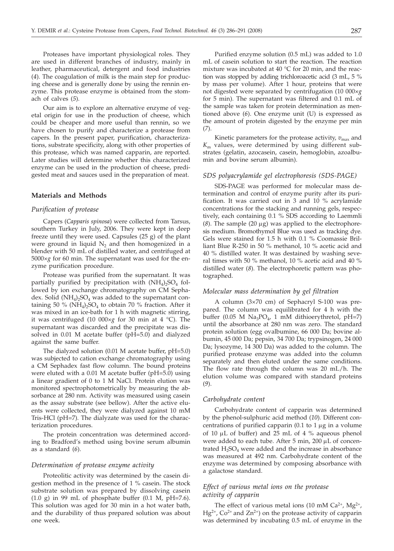Proteases have important physiological roles. They are used in different branches of industry, mainly in leather, pharmaceutical, detergent and food industries (*4*). The coagulation of milk is the main step for producing cheese and is generally done by using the rennin enzyme. This protease enzyme is obtained from the stomach of calves (*5*).

Our aim is to explore an alternative enzyme of vegetal origin for use in the production of cheese, which could be cheaper and more useful than rennin, so we have chosen to purify and characterize a protease from capers. In the present paper, purification, characterizations, substrate specificity, along with other properties of this protease, which was named capparin, are reported. Later studies will determine whether this characterized enzyme can be used in the production of cheese, predigested meat and sauces used in the preparation of meat.

## **Materials and Methods**

#### *Purification of protease*

Capers (*Capparis spinosa*) were collected from Tarsus, southern Turkey in July, 2006. They were kept in deep freeze until they were used. Capsules (25 g) of the plant were ground in liquid  $N<sub>2</sub>$  and then homogenized in a blender with 50 mL of distilled water, and centrifuged at 5000×*g* for 60 min. The supernatant was used for the enzyme purification procedure.

Protease was purified from the supernatant. It was partially purified by precipitation with  $(NH_4)$ <sub>2</sub>SO<sub>4</sub> followed by ion exchange chromatography on CM Sephadex. Solid  $(NH_4)$ <sub>2</sub>SO<sub>4</sub> was added to the supernatant containing 50 % ( $NH_4$ )<sub>2</sub>SO<sub>4</sub> to obtain 70 % fraction. After it was mixed in an ice-bath for 1 h with magnetic stirring, it was centrifuged (10 000×*g* for 30 min at 4 °C). The supernatant was discarded and the precipitate was dissolved in 0.01 M acetate buffer (pH=5.0) and dialyzed against the same buffer.

The dialyzed solution (0.01 M acetate buffer, pH=5.0) was subjected to cation exchange chromatography using a CM Sephadex fast flow column. The bound proteins were eluted with a 0.01 M acetate buffer (pH=5.0) using a linear gradient of 0 to 1 M NaCl. Protein elution was monitored spectrophotometrically by measuring the absorbance at 280 nm. Activity was measured using casein as the assay substrate (see bellow). After the active eluents were collected, they were dialyzed against 10 mM Tris-HCl (pH=7). The dialyzate was used for the characterization procedures.

The protein concentration was determined according to Bradford's method using bovine serum albumin as a standard (*6*).

### *Determination of protease enzyme activity*

Proteolitic activity was determined by the casein digestion method in the presence of 1 % casein. The stock substrate solution was prepared by dissolving casein  $(1.0 \text{ g})$  in 99 mL of phosphate buffer  $(0.1 \text{ M}, \text{pH=7.6}).$ This solution was aged for 30 min in a hot water bath, and the durability of thus prepared solution was about one week.

Purified enzyme solution (0.5 mL) was added to 1.0 mL of casein solution to start the reaction. The reaction mixture was incubated at 40 °C for 20 min, and the reaction was stopped by adding trichloroacetic acid (3 mL, 5 % by mass per volume). After 1 hour, proteins that were not digested were separated by centrifugation (10 000×*g* for 5 min). The supernatant was filtered and 0.1 mL of the sample was taken for protein determination as mentioned above (*6*). One enzyme unit (U) is expressed as the amount of protein digested by the enzyme per min (*7*).

Kinetic parameters for the protease activity,  $v_{\text{max}}$  and  $K<sub>m</sub>$  values, were determined by using different substrates (gelatin, azocasein, casein, hemoglobin, azoalbumin and bovine serum albumin).

## *SDS polyacrylamide gel electrophoresis (SDS-PAGE)*

SDS-PAGE was performed for molecular mass determination and control of enzyme purity after its purification. It was carried out in 3 and 10 % acrylamide concentrations for the stacking and running gels, respectively, each containing 0.1 % SDS according to Laemmli  $(8)$ . The sample  $(20 \mu g)$  was applied to the electrophoresis medium. Bromothymol Blue was used as tracking dye. Gels were stained for 1.5 h with 0.1 % Coomassie Brilliant Blue R-250 in 50 % methanol, 10 % acetic acid and 40 % distilled water. It was destained by washing several times with 50 % methanol, 10 % acetic acid and 40 % distilled water (*8*). The electrophoretic pattern was photographed.

## *Molecular mass determination by gel filtration*

A column (3×70 cm) of Sephacryl S-100 was prepared. The column was equilibrated for 4 h with the buffer  $(0.05 \text{ M} \text{Na}_3\text{PO}_4, 1 \text{ mM}$  dithioerythretol, pH=7) until the absorbance at 280 nm was zero. The standard protein solution (egg ovalbumine, 66 000 Da; bovine albumin, 45 000 Da; pepsin, 34 700 Da; trypsinogen, 24 000 Da; lysozyme, 14 300 Da) was added to the column. The purified protease enzyme was added into the column separately and then eluted under the same conditions. The flow rate through the column was 20 mL/h. The elution volume was compared with standard proteins (*9*).

### *Carbohydrate content*

Carbohydrate content of capparin was determined by the phenol-sulphuric acid method (*10*). Different concentrations of purified capparin (0.1 to  $1 \mu$ g in a volume of 10  $\mu$ L of buffer) and 25 mL of 4 % aqueous phenol were added to each tube. After  $5$  min,  $200 \mu L$  of concentrated  $H_2SO_4$  were added and the increase in absorbance was measured at 492 nm. Carbohydrate content of the enzyme was determined by composing absorbance with a galactose standard.

## *Effect of various metal ions on the protease activity of capparin*

The effect of various metal ions (10 mM  $Ca^{2+}$ , Mg<sup>2+</sup>,  $Hg^{2+}$ ,  $Co^{2+}$  and  $Zn^{2+}$ ) on the protease activity of capparin was determined by incubating 0.5 mL of enzyme in the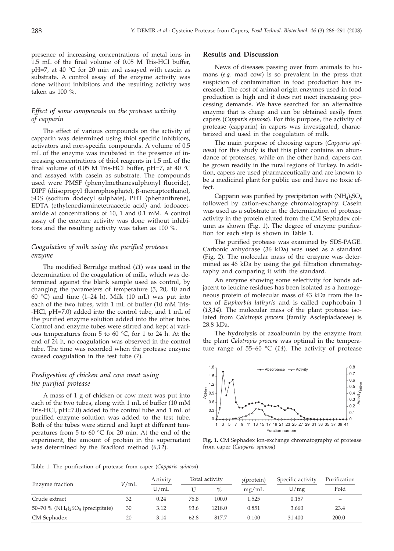presence of increasing concentrations of metal ions in 1.5 mL of the final volume of 0.05 M Tris-HCl buffer, pH=7, at 40 °C for 20 min and assayed with casein as substrate. A control assay of the enzyme activity was done without inhibitors and the resulting activity was taken as 100 %.

## *Effect of some compounds on the protease activity of capparin*

The effect of various compounds on the activity of capparin was determined using thiol specific inhibitors, activators and non-specific compounds. A volume of 0.5 mL of the enzyme was incubated in the presence of increasing concentrations of thiol reagents in 1.5 mL of the final volume of 0.05 M Tris-HCl buffer, pH=7, at 40  $^{\circ}$ C and assayed with casein as substrate. The compounds used were PMSF (phenylmethanesulphonyl fluoride), DIPF (diisopropyl fluorophosphate), β-mercaptoethanol, SDS (sodium dodecyl sulphate), PHT (phenanthrene), EDTA (ethylenediaminetetraacetic acid) and iodoacetamide at concentrations of 10, 1 and 0.1 mM. A control assay of the enzyme activity was done without inhibitors and the resulting activity was taken as 100 %.

# *Coagulation of milk using the purified protease enzyme*

The modified Berridge method (*11*) was used in the determination of the coagulation of milk, which was determined against the blank sample used as control, by changing the parameters of temperature (5, 20, 40 and 60 °C) and time (1–24 h). Milk (10 mL) was put into each of the two tubes, with 1 mL of buffer (10 mM Tris- -HCl, pH=7.0) added into the control tube, and 1 mL of the purified enzyme solution added into the other tube. Control and enzyme tubes were stirred and kept at various temperatures from 5 to 60 °C, for 1 to 24 h. At the end of 24 h, no coagulation was observed in the control tube. The time was recorded when the protease enzyme caused coagulation in the test tube (*7*).

## *Predigestion of chicken and cow meat using the purified protease*

A mass of 1 g of chicken or cow meat was put into each of the two tubes, along with 1 mL of buffer (10 mM Tris-HCl, pH=7.0) added to the control tube and 1 mL of purified enzyme solution was added to the test tube. Both of the tubes were stirred and kept at different temperatures from 5 to 60 °C for 20 min. At the end of the experiment, the amount of protein in the supernatant was determined by the Bradford method (*6*,*12*).

#### **Results and Discussion**

News of diseases passing over from animals to humans (*e.g*. mad cow) is so prevalent in the press that suspicion of contamination in food production has increased. The cost of animal origin enzymes used in food production is high and it does not meet increasing processing demands. We have searched for an alternative enzyme that is cheap and can be obtained easily from capers (*Capparis spinosa*). For this purpose, the activity of protease (capparin) in capers was investigated, characterized and used in the coagulation of milk.

The main purpose of choosing capers (*Capparis spinosa*) for this study is that this plant contains an abundance of proteases, while on the other hand, capers can be grown readily in the rural regions of Turkey. In addition, capers are used pharmaceutically and are known to be a medicinal plant for public use and have no toxic effect.

Capparin was purified by precipitation with  $(NH_4)$ <sub>2</sub>SO<sub>4</sub> followed by cation-exchange chromatography. Casein was used as a substrate in the determination of protease activity in the protein eluted from the CM Sephadex column as shown (Fig. 1). The degree of enzyme purification for each step is shown in Table 1.

The purified protease was examined by SDS-PAGE. Carbonic anhydrase (36 kDa) was used as a standard (Fig. 2). The molecular mass of the enzyme was determined as 46 kDa by using the gel filtration chromatography and comparing it with the standard.

An enzyme showing some selectivity for bonds adjacent to leucine residues has been isolated as a homogeneous protein of molecular mass of 43 kDa from the latex of *Euphorbia lathyris* and is called euphorbain 1 (*13,14*). The molecular mass of the plant protease isolated from *Calotropis procera* (family Asclepiadaceae) is 28.8 kDa.

The hydrolysis of azoalbumin by the enzyme from the plant *Calotropis procera* was optimal in the temperature range of 55–60 °C (*14*). The activity of protease



**Fig. 1.** CM Sephadex ion-exchange chromatography of protease from caper (*Capparis spinosa*)

Table 1. The purification of protease from caper (*Capparis spinosa*)

|                                                                       | $V$ /mL | Activity<br>U/mL | Total activity |        | $\gamma$ (protein) | Specific activity | Purification             |
|-----------------------------------------------------------------------|---------|------------------|----------------|--------|--------------------|-------------------|--------------------------|
| Enzyme fraction                                                       |         |                  |                | $\%$   | mg/mL              | U/mg              | Fold                     |
| Crude extract                                                         | 32      | 0.24             | 76.8           | 100.0  | 1.525              | 0.157             | $\overline{\phantom{0}}$ |
| 50–70 % (NH <sub>4</sub> ) <sub>2</sub> SO <sub>4</sub> (precipitate) | 30      | 3.12             | 93.6           | 1218.0 | 0.851              | 3.660             | 23.4                     |
| CM Sephadex                                                           | 20      | 3.14             | 62.8           | 817.7  | 0.100              | 31.400            | 200.0                    |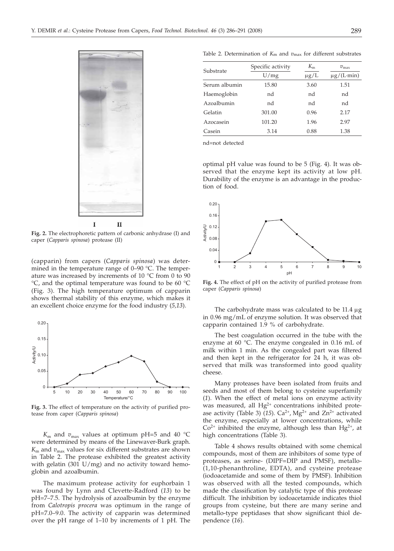

**Fig. 2.** The electrophoretic pattern of carbonic anhydrase (I) and caper (*Capparis spinosa*) protease (II)

(capparin) from capers (*Capparis spinosa*) was determined in the temperature range of 0–90 °C. The temperature was increased by increments of 10 °C from 0 to 90 °C, and the optimal temperature was found to be 60 °C (Fig. 3). The high temperature optimum of capparin shows thermal stability of this enzyme, which makes it an excellent choice enzyme for the food industry (*5,13*).



**Fig. 3.** The effect of temperature on the activity of purified protease from caper (*Capparis spinosa*)

 $K_{\rm m}$  and  $v_{\rm max}$  values at optimum pH=5 and 40 °C were determined by means of the Linewaver-Burk graph.  $K<sub>m</sub>$  and  $v<sub>max</sub>$  values for six different substrates are shown in Table 2. The protease exhibited the greatest activity with gelatin (301  $U/mg$ ) and no activity toward hemoglobin and azoalbumin.

The maximum protease activity for euphorbain 1 was found by Lynn and Clevette-Radford (*13*) to be pH=7–7.5. The hydrolysis of azoalbumin by the enzyme from *Calotropis procera* was optimum in the range of pH=7.0–9.0. The activity of capparin was determined over the pH range of 1–10 by increments of 1 pH. The

Table 2. Determination of *K*m and *v*max for different substrates

| Substrate     | Specific activity | $K_{m}$   | $v_{\rm max}$   |  |
|---------------|-------------------|-----------|-----------------|--|
|               | U/mg              | $\mu$ g/L | $\mu$ g/(L·min) |  |
| Serum albumin | 15.80             | 3.60      | 1.51            |  |
| Haemoglobin   | nd                | nd        | nd              |  |
| Azoalbumin    | nd                | nd        | nd              |  |
| Gelatin       | 301.00            | 0.96      | 2.17            |  |
| Azocasein     | 101.20            | 1.96      | 2.97            |  |
| Casein        | 3.14              | 0.88      | 1.38            |  |

nd=not detected

optimal pH value was found to be 5 (Fig. 4). It was observed that the enzyme kept its activity at low pH. Durability of the enzyme is an advantage in the production of food.



**Fig. 4.** The effect of pH on the activity of purified protease from caper (*Capparis spinosa*)

The carbohydrate mass was calculated to be  $11.4 \mu$ g in 0.96 mg/mL of enzyme solution. It was observed that capparin contained 1.9 % of carbohydrate.

The best coagulation occurred in the tube with the enzyme at 60 °C. The enzyme congealed in 0.16 mL of milk within 1 min. As the congealed part was filtered and then kept in the refrigerator for 24 h, it was observed that milk was transformed into good quality cheese.

Many proteases have been isolated from fruits and seeds and most of them belong to cysteine superfamily (*1*). When the effect of metal ions on enzyme activity was measured, all  $Hg^{2+}$  concentrations inhibited protease activity (Table 3)  $(15)$ . Ca<sup>2+</sup>, Mg<sup>2+</sup> and Zn<sup>2+</sup> activated the enzyme, especially at lower concentrations, while  $Co<sup>2+</sup>$  inhibited the enzyme, although less than Hg<sup>2+</sup>, at high concentrations (Table 3).

Table 4 shows results obtained with some chemical compounds, most of them are inhibitors of some type of proteases, as serine- (DIPF=DIP and PMSF), metallo- (1,10-phenanthroline, EDTA), and cysteine protease (iodoacetamide and some of them by PMSF). Inhibition was observed with all the tested compounds, which made the classification by catalytic type of this protease difficult. The inhibition by iodoacetamide indicates thiol groups from cysteine, but there are many serine and metallo-type peptidases that show significant thiol dependence (*16*).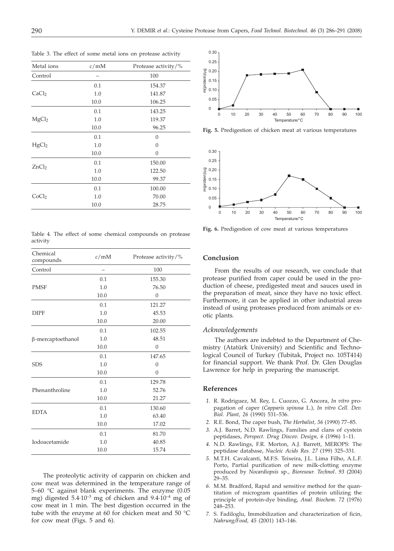| Metal ions        | c/mM | Protease activity/% |
|-------------------|------|---------------------|
| Control           |      | 100                 |
|                   | 0.1  | 154.37              |
| CaCl <sub>2</sub> | 1.0  | 141.87              |
|                   | 10.0 | 106.25              |
| MgCl <sub>2</sub> | 0.1  | 143.25              |
|                   | 1.0  | 119.37              |
|                   | 10.0 | 96.25               |
| HgCl <sub>2</sub> | 0.1  | $\Omega$            |
|                   | 1.0  | $\Omega$            |
|                   | 10.0 | $\Omega$            |
| ZnCl <sub>2</sub> | 0.1  | 150.00              |
|                   | 1.0  | 122.50              |
|                   | 10.0 | 99.37               |
| CoCl <sub>2</sub> | 0.1  | 100.00              |
|                   | 1.0  | 70.00               |
|                   | 10.0 | 28.75               |

Table 3. The effect of some metal ions on protease activity

Table 4. The effect of some chemical compounds on protease activity

| Chemical<br>compounds | c/mM | Protease activity/% |
|-----------------------|------|---------------------|
| Control               |      | 100                 |
|                       | 0.1  | 155.30              |
| <b>PMSF</b>           | 1.0  | 76.50               |
|                       | 10.0 | $\theta$            |
|                       | 0.1  | 121.27              |
| <b>DIPF</b>           | 1.0  | 45.53               |
|                       | 10.0 | 20.00               |
|                       | 0.1  | 102.55              |
| β-mercaptoethanol     | 1.0  | 48.51               |
|                       | 10.0 | $\overline{0}$      |
|                       | 0.1  | 147.65              |
| <b>SDS</b>            | 1.0  | $\mathbf{0}$        |
|                       | 10.0 | $\Omega$            |
|                       | 0.1  | 129.78              |
| Phenanthroline        | 1.0  | 52.76               |
|                       | 10.0 | 21.27               |
|                       | 0.1  | 130.60              |
| <b>EDTA</b>           | 1.0  | 63.40               |
|                       | 10.0 | 17.02               |
|                       | 0.1  | 81.70               |
| Iodoacetamide         | 1.0  | 40.85               |
|                       | 10.0 | 15.74               |
|                       |      |                     |

The proteolytic activity of capparin on chicken and cow meat was determined in the temperature range of 5–60 °C against blank experiments. The enzyme (0.05 mg) digested  $5.4 \cdot 10^{-3}$  mg of chicken and  $9.4 \cdot 10^{-4}$  mg of cow meat in 1 min. The best digestion occurred in the tube with the enzyme at 60 for chicken meat and 50 °C for cow meat (Figs. 5 and 6).



**Fig. 5.** Predigestion of chicken meat at various temperatures



**Fig. 6.** Predigestion of cow meat at various temperatures

# **Conclusion**

From the results of our research, we conclude that protease purified from caper could be used in the production of cheese, predigested meat and sauces used in the preparation of meat, since they have no toxic effect. Furthermore, it can be applied in other industrial areas instead of using proteases produced from animals or exotic plants.

#### *Acknowledgements*

The authors are indebted to the Department of Chemistry (Atatürk University) and Scientific and Technological Council of Turkey (Tubitak, Project no. 105T414) for financial support. We thank Prof. Dr. Glen Douglas Lawrence for help in preparing the manuscript.

### **References**

- *1.* R. Rodriguez, M. Rey, L. Cuozzo, G. Ancora, *In vitro* propagation of caper (*Capparis spinosa* L.)*, In vitro Cell. Dev. Biol. Plant, 26* (1990) 531–536.
- *2.* R.E. Bond, The caper bush, *The Herbalist, 56* (1990) 77–85.
- *3.* A.J. Barret, N.D. Rawlings, Families and clans of cystein peptidases, *Perspect. Drug Discov. Design, 6* (1996) 1–11.
- *4.* N.D. Rawlings, F.R. Morton, A.J. Barrett, MEROPS: The peptidase database, *Nucleic Acids Res. 27* (199) 325–331.
- *5.* M.T.H. Cavalcanti, M.F.S. Teixeira, J.L. Lima Filho, A.L.F. Porto, Partial purification of new milk-clotting enzyme produced by *Nocardiopsis* sp., *Bioresour. Technol*. *93* (2004) 29–35.
- *6.* M.M. Bradford, Rapid and sensitive method for the quantitation of microgram quantities of protein utilizing the principle of protein-dye binding, *Anal. Biochem*. *72* (1976) 248–253.
- *7.* S. Fadiloglu, Immobilization and characterization of ficin, *Nahrung/Food, 45* (2001) 143–146.